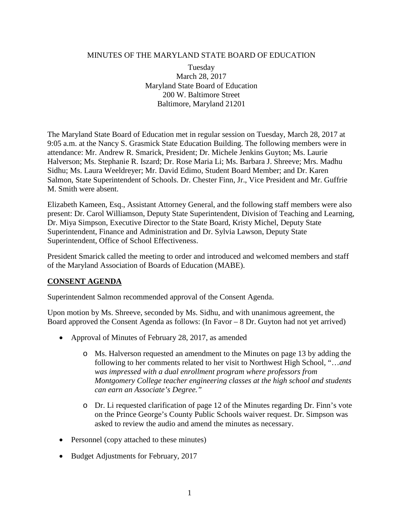### MINUTES OF THE MARYLAND STATE BOARD OF EDUCATION

Tuesday March 28, 2017 Maryland State Board of Education 200 W. Baltimore Street Baltimore, Maryland 21201

The Maryland State Board of Education met in regular session on Tuesday, March 28, 2017 at 9:05 a.m. at the Nancy S. Grasmick State Education Building. The following members were in attendance: Mr. Andrew R. Smarick, President; Dr. Michele Jenkins Guyton; Ms. Laurie Halverson; Ms. Stephanie R. Iszard; Dr. Rose Maria Li; Ms. Barbara J. Shreeve; Mrs. Madhu Sidhu; Ms. Laura Weeldreyer; Mr. David Edimo, Student Board Member; and Dr. Karen Salmon, State Superintendent of Schools. Dr. Chester Finn, Jr., Vice President and Mr. Guffrie M. Smith were absent.

Elizabeth Kameen, Esq., Assistant Attorney General, and the following staff members were also present: Dr. Carol Williamson, Deputy State Superintendent, Division of Teaching and Learning, Dr. Miya Simpson, Executive Director to the State Board, Kristy Michel, Deputy State Superintendent, Finance and Administration and Dr. Sylvia Lawson, Deputy State Superintendent, Office of School Effectiveness.

President Smarick called the meeting to order and introduced and welcomed members and staff of the Maryland Association of Boards of Education (MABE).

### **CONSENT AGENDA**

Superintendent Salmon recommended approval of the Consent Agenda.

Upon motion by Ms. Shreeve, seconded by Ms. Sidhu, and with unanimous agreement, the Board approved the Consent Agenda as follows: (In Favor – 8 Dr. Guyton had not yet arrived)

- Approval of Minutes of February 28, 2017, as amended
	- o Ms. Halverson requested an amendment to the Minutes on page 13 by adding the following to her comments related to her visit to Northwest High School, "…*and was impressed with a dual enrollment program where professors from Montgomery College teacher engineering classes at the high school and students can earn an Associate's Degree."*
	- o Dr. Li requested clarification of page 12 of the Minutes regarding Dr. Finn's vote on the Prince George's County Public Schools waiver request. Dr. Simpson was asked to review the audio and amend the minutes as necessary.
- Personnel (copy attached to these minutes)
- Budget Adjustments for February, 2017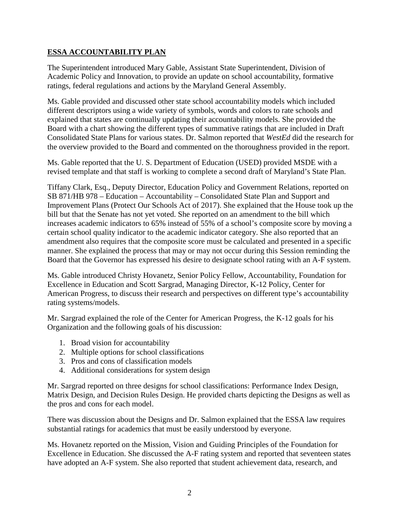## **ESSA ACCOUNTABILITY PLAN**

The Superintendent introduced Mary Gable, Assistant State Superintendent, Division of Academic Policy and Innovation, to provide an update on school accountability, formative ratings, federal regulations and actions by the Maryland General Assembly.

Ms. Gable provided and discussed other state school accountability models which included different descriptors using a wide variety of symbols, words and colors to rate schools and explained that states are continually updating their accountability models. She provided the Board with a chart showing the different types of summative ratings that are included in Draft Consolidated State Plans for various states. Dr. Salmon reported that *WestEd* did the research for the overview provided to the Board and commented on the thoroughness provided in the report.

Ms. Gable reported that the U. S. Department of Education (USED) provided MSDE with a revised template and that staff is working to complete a second draft of Maryland's State Plan.

Tiffany Clark, Esq., Deputy Director, Education Policy and Government Relations, reported on SB 871/HB 978 – Education – Accountability – Consolidated State Plan and Support and Improvement Plans (Protect Our Schools Act of 2017). She explained that the House took up the bill but that the Senate has not yet voted. She reported on an amendment to the bill which increases academic indicators to 65% instead of 55% of a school's composite score by moving a certain school quality indicator to the academic indicator category. She also reported that an amendment also requires that the composite score must be calculated and presented in a specific manner. She explained the process that may or may not occur during this Session reminding the Board that the Governor has expressed his desire to designate school rating with an A-F system.

Ms. Gable introduced Christy Hovanetz, Senior Policy Fellow, Accountability, Foundation for Excellence in Education and Scott Sargrad, Managing Director, K-12 Policy, Center for American Progress, to discuss their research and perspectives on different type's accountability rating systems/models.

Mr. Sargrad explained the role of the Center for American Progress, the K-12 goals for his Organization and the following goals of his discussion:

- 1. Broad vision for accountability
- 2. Multiple options for school classifications
- 3. Pros and cons of classification models
- 4. Additional considerations for system design

Mr. Sargrad reported on three designs for school classifications: Performance Index Design, Matrix Design, and Decision Rules Design. He provided charts depicting the Designs as well as the pros and cons for each model.

There was discussion about the Designs and Dr. Salmon explained that the ESSA law requires substantial ratings for academics that must be easily understood by everyone.

Ms. Hovanetz reported on the Mission, Vision and Guiding Principles of the Foundation for Excellence in Education. She discussed the A-F rating system and reported that seventeen states have adopted an A-F system. She also reported that student achievement data, research, and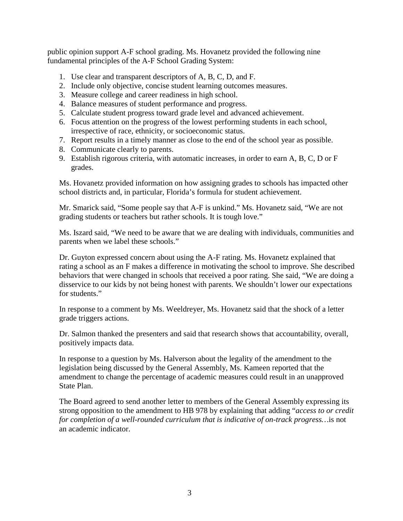public opinion support A-F school grading. Ms. Hovanetz provided the following nine fundamental principles of the A-F School Grading System:

- 1. Use clear and transparent descriptors of A, B, C, D, and F.
- 2. Include only objective, concise student learning outcomes measures.
- 3. Measure college and career readiness in high school.
- 4. Balance measures of student performance and progress.
- 5. Calculate student progress toward grade level and advanced achievement.
- 6. Focus attention on the progress of the lowest performing students in each school, irrespective of race, ethnicity, or socioeconomic status.
- 7. Report results in a timely manner as close to the end of the school year as possible.
- 8. Communicate clearly to parents.
- 9. Establish rigorous criteria, with automatic increases, in order to earn A, B, C, D or F grades.

Ms. Hovanetz provided information on how assigning grades to schools has impacted other school districts and, in particular, Florida's formula for student achievement.

Mr. Smarick said, "Some people say that A-F is unkind." Ms. Hovanetz said, "We are not grading students or teachers but rather schools. It is tough love."

Ms. Iszard said, "We need to be aware that we are dealing with individuals, communities and parents when we label these schools."

Dr. Guyton expressed concern about using the A-F rating. Ms. Hovanetz explained that rating a school as an F makes a difference in motivating the school to improve. She described behaviors that were changed in schools that received a poor rating. She said, "We are doing a disservice to our kids by not being honest with parents. We shouldn't lower our expectations for students."

In response to a comment by Ms. Weeldreyer, Ms. Hovanetz said that the shock of a letter grade triggers actions.

Dr. Salmon thanked the presenters and said that research shows that accountability, overall, positively impacts data.

In response to a question by Ms. Halverson about the legality of the amendment to the legislation being discussed by the General Assembly, Ms. Kameen reported that the amendment to change the percentage of academic measures could result in an unapproved State Plan.

The Board agreed to send another letter to members of the General Assembly expressing its strong opposition to the amendment to HB 978 by explaining that adding "*access to or credit for completion of a well-rounded curriculum that is indicative of on-track progress…*is not an academic indicator.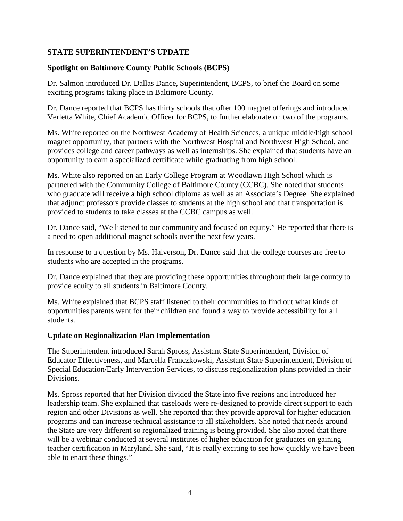## **STATE SUPERINTENDENT'S UPDATE**

## **Spotlight on Baltimore County Public Schools (BCPS)**

Dr. Salmon introduced Dr. Dallas Dance, Superintendent, BCPS, to brief the Board on some exciting programs taking place in Baltimore County.

Dr. Dance reported that BCPS has thirty schools that offer 100 magnet offerings and introduced Verletta White, Chief Academic Officer for BCPS, to further elaborate on two of the programs.

Ms. White reported on the Northwest Academy of Health Sciences, a unique middle/high school magnet opportunity, that partners with the Northwest Hospital and Northwest High School, and provides college and career pathways as well as internships. She explained that students have an opportunity to earn a specialized certificate while graduating from high school.

Ms. White also reported on an Early College Program at Woodlawn High School which is partnered with the Community College of Baltimore County (CCBC). She noted that students who graduate will receive a high school diploma as well as an Associate's Degree. She explained that adjunct professors provide classes to students at the high school and that transportation is provided to students to take classes at the CCBC campus as well.

Dr. Dance said, "We listened to our community and focused on equity." He reported that there is a need to open additional magnet schools over the next few years.

In response to a question by Ms. Halverson, Dr. Dance said that the college courses are free to students who are accepted in the programs.

Dr. Dance explained that they are providing these opportunities throughout their large county to provide equity to all students in Baltimore County.

Ms. White explained that BCPS staff listened to their communities to find out what kinds of opportunities parents want for their children and found a way to provide accessibility for all students.

## **Update on Regionalization Plan Implementation**

The Superintendent introduced Sarah Spross, Assistant State Superintendent, Division of Educator Effectiveness, and Marcella Franczkowski, Assistant State Superintendent, Division of Special Education/Early Intervention Services, to discuss regionalization plans provided in their Divisions.

Ms. Spross reported that her Division divided the State into five regions and introduced her leadership team. She explained that caseloads were re-designed to provide direct support to each region and other Divisions as well. She reported that they provide approval for higher education programs and can increase technical assistance to all stakeholders. She noted that needs around the State are very different so regionalized training is being provided. She also noted that there will be a webinar conducted at several institutes of higher education for graduates on gaining teacher certification in Maryland. She said, "It is really exciting to see how quickly we have been able to enact these things."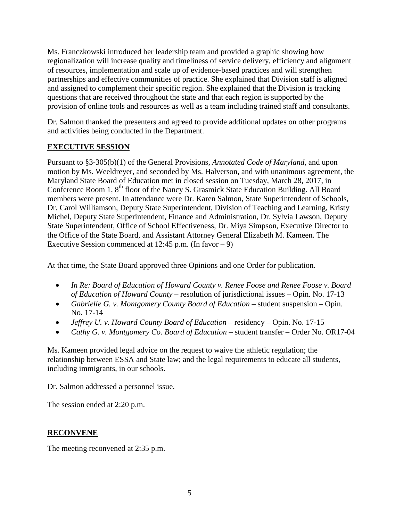Ms. Franczkowski introduced her leadership team and provided a graphic showing how regionalization will increase quality and timeliness of service delivery, efficiency and alignment of resources, implementation and scale up of evidence-based practices and will strengthen partnerships and effective communities of practice. She explained that Division staff is aligned and assigned to complement their specific region. She explained that the Division is tracking questions that are received throughout the state and that each region is supported by the provision of online tools and resources as well as a team including trained staff and consultants.

Dr. Salmon thanked the presenters and agreed to provide additional updates on other programs and activities being conducted in the Department.

# **EXECUTIVE SESSION**

Pursuant to §3-305(b)(1) of the General Provisions, *Annotated Code of Maryland*, and upon motion by Ms. Weeldreyer, and seconded by Ms. Halverson, and with unanimous agreement, the Maryland State Board of Education met in closed session on Tuesday, March 28, 2017, in Conference Room 1, 8<sup>th</sup> floor of the Nancy S. Grasmick State Education Building. All Board members were present. In attendance were Dr. Karen Salmon, State Superintendent of Schools, Dr. Carol Williamson, Deputy State Superintendent, Division of Teaching and Learning, Kristy Michel, Deputy State Superintendent, Finance and Administration, Dr. Sylvia Lawson, Deputy State Superintendent, Office of School Effectiveness, Dr. Miya Simpson, Executive Director to the Office of the State Board, and Assistant Attorney General Elizabeth M. Kameen. The Executive Session commenced at 12:45 p.m. (In favor – 9)

At that time, the State Board approved three Opinions and one Order for publication.

- *In Re: Board of Education of Howard County v. Renee Foose and Renee Foose v. Board of Education of Howard County –* resolution of jurisdictional issues – Opin. No. 17-13
- *Gabrielle G. v. Montgomery County Board of Education –* student suspension Opin. No. 17-14
- *Jeffrey U. v. Howard County Board of Education* residency Opin. No. 17-15
- *Cathy G. v. Montgomery Co. Board of Education –* student transfer Order No. OR17-04

Ms. Kameen provided legal advice on the request to waive the athletic regulation; the relationship between ESSA and State law; and the legal requirements to educate all students, including immigrants, in our schools.

Dr. Salmon addressed a personnel issue.

The session ended at 2:20 p.m.

# **RECONVENE**

The meeting reconvened at 2:35 p.m.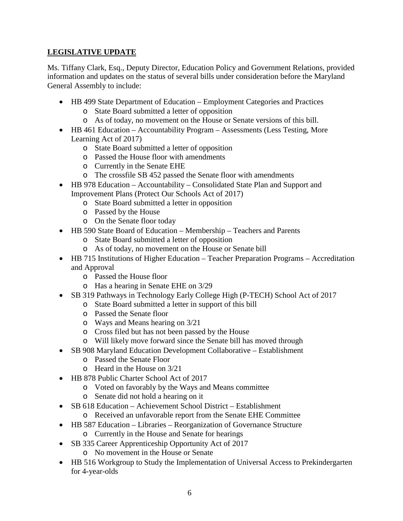# **LEGISLATIVE UPDATE**

Ms. Tiffany Clark, Esq., Deputy Director, Education Policy and Government Relations, provided information and updates on the status of several bills under consideration before the Maryland General Assembly to include:

- HB 499 State Department of Education Employment Categories and Practices
	- o State Board submitted a letter of opposition
	- o As of today, no movement on the House or Senate versions of this bill.
- HB 461 Education Accountability Program Assessments (Less Testing, More Learning Act of 2017)
	- o State Board submitted a letter of opposition
	- o Passed the House floor with amendments
	- o Currently in the Senate EHE
	- o The crossfile SB 452 passed the Senate floor with amendments
- HB 978 Education Accountability Consolidated State Plan and Support and Improvement Plans (Protect Our Schools Act of 2017)
	- o State Board submitted a letter in opposition
	- o Passed by the House
	- o On the Senate floor today
- HB 590 State Board of Education Membership Teachers and Parents
	- o State Board submitted a letter of opposition
	- o As of today, no movement on the House or Senate bill
- HB 715 Institutions of Higher Education Teacher Preparation Programs Accreditation and Approval
	- o Passed the House floor
	- o Has a hearing in Senate EHE on 3/29
- SB 319 Pathways in Technology Early College High (P-TECH) School Act of 2017
	- o State Board submitted a letter in support of this bill
	- o Passed the Senate floor
	- o Ways and Means hearing on 3/21
	- o Cross filed but has not been passed by the House
	- o Will likely move forward since the Senate bill has moved through
- SB 908 Maryland Education Development Collaborative Establishment
	- o Passed the Senate Floor
	- o Heard in the House on 3/21
- HB 878 Public Charter School Act of 2017
	- o Voted on favorably by the Ways and Means committee
	- o Senate did not hold a hearing on it
- SB 618 Education Achievement School District Establishment
	- o Received an unfavorable report from the Senate EHE Committee
- HB 587 Education Libraries Reorganization of Governance Structure o Currently in the House and Senate for hearings
- SB 335 Career Apprenticeship Opportunity Act of 2017
	- o No movement in the House or Senate
- HB 516 Workgroup to Study the Implementation of Universal Access to Prekindergarten for 4-year-olds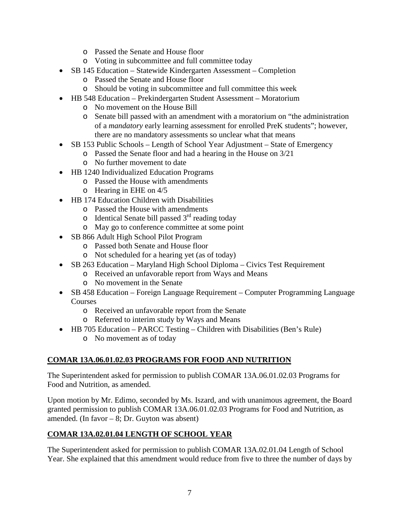- o Passed the Senate and House floor
- o Voting in subcommittee and full committee today
- SB 145 Education Statewide Kindergarten Assessment Completion
	- o Passed the Senate and House floor
	- o Should be voting in subcommittee and full committee this week
- HB 548 Education Prekindergarten Student Assessment Moratorium
	- o No movement on the House Bill
	- o Senate bill passed with an amendment with a moratorium on "the administration of a *mandatory* early learning assessment for enrolled PreK students"; however, there are no mandatory assessments so unclear what that means
- SB 153 Public Schools Length of School Year Adjustment State of Emergency
	- o Passed the Senate floor and had a hearing in the House on 3/21
	- o No further movement to date
- HB 1240 Individualized Education Programs
	- o Passed the House with amendments
	- o Hearing in EHE on 4/5
- HB 174 Education Children with Disabilities
	- o Passed the House with amendments
	- $\circ$  Identical Senate bill passed  $3<sup>rd</sup>$  reading today
	- o May go to conference committee at some point
- SB 866 Adult High School Pilot Program
	- o Passed both Senate and House floor
	- o Not scheduled for a hearing yet (as of today)
- SB 263 Education Maryland High School Diploma Civics Test Requirement
	- o Received an unfavorable report from Ways and Means
	- o No movement in the Senate
- SB 458 Education Foreign Language Requirement Computer Programming Language **Courses** 
	- o Received an unfavorable report from the Senate
	- o Referred to interim study by Ways and Means
- HB 705 Education PARCC Testing Children with Disabilities (Ben's Rule)
	- o No movement as of today

# **COMAR 13A.06.01.02.03 PROGRAMS FOR FOOD AND NUTRITION**

The Superintendent asked for permission to publish COMAR 13A.06.01.02.03 Programs for Food and Nutrition, as amended.

Upon motion by Mr. Edimo, seconded by Ms. Iszard, and with unanimous agreement, the Board granted permission to publish COMAR 13A.06.01.02.03 Programs for Food and Nutrition, as amended. (In favor – 8; Dr. Guyton was absent)

# **COMAR 13A.02.01.04 LENGTH OF SCHOOL YEAR**

The Superintendent asked for permission to publish COMAR 13A.02.01.04 Length of School Year. She explained that this amendment would reduce from five to three the number of days by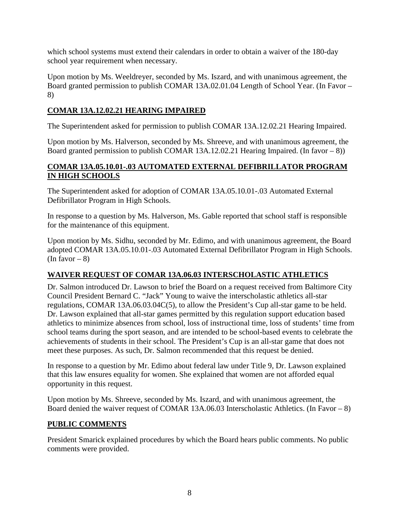which school systems must extend their calendars in order to obtain a waiver of the 180-day school year requirement when necessary.

Upon motion by Ms. Weeldreyer, seconded by Ms. Iszard, and with unanimous agreement, the Board granted permission to publish COMAR 13A.02.01.04 Length of School Year. (In Favor – 8)

## **COMAR 13A.12.02.21 HEARING IMPAIRED**

The Superintendent asked for permission to publish COMAR 13A.12.02.21 Hearing Impaired.

Upon motion by Ms. Halverson, seconded by Ms. Shreeve, and with unanimous agreement, the Board granted permission to publish COMAR 13A.12.02.21 Hearing Impaired. (In favor  $- 8$ ))

## **COMAR 13A.05.10.01-.03 AUTOMATED EXTERNAL DEFIBRILLATOR PROGRAM IN HIGH SCHOOLS**

The Superintendent asked for adoption of COMAR 13A.05.10.01-.03 Automated External Defibrillator Program in High Schools.

In response to a question by Ms. Halverson, Ms. Gable reported that school staff is responsible for the maintenance of this equipment.

Upon motion by Ms. Sidhu, seconded by Mr. Edimo, and with unanimous agreement, the Board adopted COMAR 13A.05.10.01-.03 Automated External Defibrillator Program in High Schools. (In favor  $-8$ )

# **WAIVER REQUEST OF COMAR 13A.06.03 INTERSCHOLASTIC ATHLETICS**

Dr. Salmon introduced Dr. Lawson to brief the Board on a request received from Baltimore City Council President Bernard C. "Jack" Young to waive the interscholastic athletics all-star regulations, COMAR 13A.06.03.04C(5), to allow the President's Cup all-star game to be held. Dr. Lawson explained that all-star games permitted by this regulation support education based athletics to minimize absences from school, loss of instructional time, loss of students' time from school teams during the sport season, and are intended to be school-based events to celebrate the achievements of students in their school. The President's Cup is an all-star game that does not meet these purposes. As such, Dr. Salmon recommended that this request be denied.

In response to a question by Mr. Edimo about federal law under Title 9, Dr. Lawson explained that this law ensures equality for women. She explained that women are not afforded equal opportunity in this request.

Upon motion by Ms. Shreeve, seconded by Ms. Iszard, and with unanimous agreement, the Board denied the waiver request of COMAR 13A.06.03 Interscholastic Athletics. (In Favor – 8)

## **PUBLIC COMMENTS**

President Smarick explained procedures by which the Board hears public comments. No public comments were provided.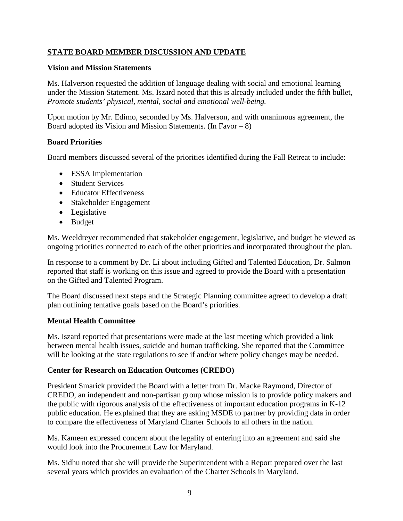## **STATE BOARD MEMBER DISCUSSION AND UPDATE**

### **Vision and Mission Statements**

Ms. Halverson requested the addition of language dealing with social and emotional learning under the Mission Statement. Ms. Iszard noted that this is already included under the fifth bullet, *Promote students' physical, mental, social and emotional well-being.*

Upon motion by Mr. Edimo, seconded by Ms. Halverson, and with unanimous agreement, the Board adopted its Vision and Mission Statements. (In Favor  $-8$ )

### **Board Priorities**

Board members discussed several of the priorities identified during the Fall Retreat to include:

- ESSA Implementation
- Student Services
- Educator Effectiveness
- Stakeholder Engagement
- Legislative
- Budget

Ms. Weeldreyer recommended that stakeholder engagement, legislative, and budget be viewed as ongoing priorities connected to each of the other priorities and incorporated throughout the plan.

In response to a comment by Dr. Li about including Gifted and Talented Education, Dr. Salmon reported that staff is working on this issue and agreed to provide the Board with a presentation on the Gifted and Talented Program.

The Board discussed next steps and the Strategic Planning committee agreed to develop a draft plan outlining tentative goals based on the Board's priorities.

## **Mental Health Committee**

Ms. Iszard reported that presentations were made at the last meeting which provided a link between mental health issues, suicide and human trafficking. She reported that the Committee will be looking at the state regulations to see if and/or where policy changes may be needed.

## **Center for Research on Education Outcomes (CREDO)**

President Smarick provided the Board with a letter from Dr. Macke Raymond, Director of CREDO, an independent and non-partisan group whose mission is to provide policy makers and the public with rigorous analysis of the effectiveness of important education programs in K-12 public education. He explained that they are asking MSDE to partner by providing data in order to compare the effectiveness of Maryland Charter Schools to all others in the nation.

Ms. Kameen expressed concern about the legality of entering into an agreement and said she would look into the Procurement Law for Maryland.

Ms. Sidhu noted that she will provide the Superintendent with a Report prepared over the last several years which provides an evaluation of the Charter Schools in Maryland.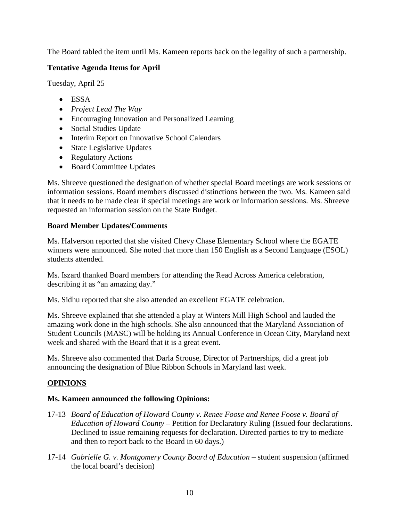The Board tabled the item until Ms. Kameen reports back on the legality of such a partnership.

# **Tentative Agenda Items for April**

Tuesday, April 25

- ESSA
- *Project Lead The Way*
- Encouraging Innovation and Personalized Learning
- Social Studies Update
- Interim Report on Innovative School Calendars
- State Legislative Updates
- Regulatory Actions
- Board Committee Updates

Ms. Shreeve questioned the designation of whether special Board meetings are work sessions or information sessions. Board members discussed distinctions between the two. Ms. Kameen said that it needs to be made clear if special meetings are work or information sessions. Ms. Shreeve requested an information session on the State Budget.

## **Board Member Updates/Comments**

Ms. Halverson reported that she visited Chevy Chase Elementary School where the EGATE winners were announced. She noted that more than 150 English as a Second Language (ESOL) students attended.

Ms. Iszard thanked Board members for attending the Read Across America celebration, describing it as "an amazing day."

Ms. Sidhu reported that she also attended an excellent EGATE celebration.

Ms. Shreeve explained that she attended a play at Winters Mill High School and lauded the amazing work done in the high schools. She also announced that the Maryland Association of Student Councils (MASC) will be holding its Annual Conference in Ocean City, Maryland next week and shared with the Board that it is a great event.

Ms. Shreeve also commented that Darla Strouse, Director of Partnerships, did a great job announcing the designation of Blue Ribbon Schools in Maryland last week.

## **OPINIONS**

## **Ms. Kameen announced the following Opinions:**

- 17-13 *Board of Education of Howard County v. Renee Foose and Renee Foose v. Board of Education of Howard County* – Petition for Declaratory Ruling (Issued four declarations. Declined to issue remaining requests for declaration. Directed parties to try to mediate and then to report back to the Board in 60 days.)
- 17-14 *Gabrielle G. v. Montgomery County Board of Education* student suspension (affirmed the local board's decision)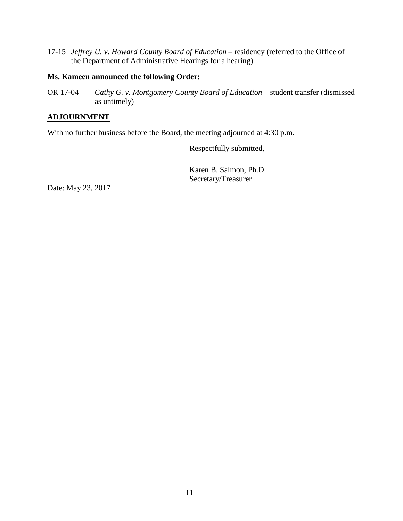17-15 *Jeffrey U. v. Howard County Board of Education* – residency (referred to the Office of the Department of Administrative Hearings for a hearing)

#### **Ms. Kameen announced the following Order:**

OR 17-04 *Cathy G. v. Montgomery County Board of Education* – student transfer (dismissed as untimely)

## **ADJOURNMENT**

With no further business before the Board, the meeting adjourned at 4:30 p.m.

Respectfully submitted,

Karen B. Salmon, Ph.D. Secretary/Treasurer

Date: May 23, 2017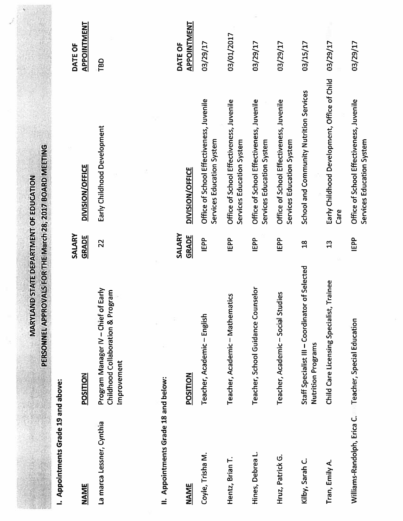|                                      | MARYLAND<br>PERSONNEL APPROV                                                            |                        | ALS FOR THE March 28, 2017 BOARD MEETING<br>STATE DEPARTMENT OF EDUCATION |                        |
|--------------------------------------|-----------------------------------------------------------------------------------------|------------------------|---------------------------------------------------------------------------|------------------------|
| I. Appointments Grade 19 and above:  |                                                                                         |                        |                                                                           |                        |
| <b>NAME</b>                          | POSITION                                                                                | SALARY<br>GRADE        | DIVISION/OFFICE                                                           | APPOINTMENT<br>DATE OF |
| La marca Lessner, Cynthia            | Program Manager IV - Chief of Early<br>Childhood Collaboration & Program<br>Improvement | 22                     | Early Childhood Development                                               | TBD                    |
|                                      |                                                                                         |                        |                                                                           |                        |
| II. Appointments Grade 18 and below: |                                                                                         |                        |                                                                           |                        |
| <b>NAME</b>                          | POSITION                                                                                | SALARY<br><b>GRADE</b> | DIVISION/OFFICE                                                           | APPOINTMENT<br>DATE OF |
| Coyle, Trisha M.                     | Teacher, Academic - English                                                             | IEPP                   | Office of School Effectiveness, Juvenile<br>Services Education System     | 03/29/17               |
| Hentz, Brian T.                      | Teacher, Academic - Mathematics                                                         | IEPP                   | Office of School Effectiveness, Juvenile<br>Services Education System     | 03/01/2017             |
| Hines, Debrea L.                     | Teacher, School Guidance Counselor                                                      | IEPP                   | Office of School Effectiveness, Juvenile<br>Services Education System     | 03/29/17               |
| Hruz, Patrick G.                     | Teacher, Academic-Social Studies                                                        | IEPP                   | Office of School Effectiveness, Juvenile<br>Services Education System     | 03/29/17               |
| Kilby, Sarah C.                      | Staff Specialist III - Coordinator of Selected<br>Nutrition Programs                    | $\frac{8}{10}$         | School and Community Nutrition Services                                   | 03/15/17               |
| Tran, Emily A.                       | ainee<br>Child Care Licensing Specialist, Tr                                            | $\frac{3}{2}$          | Early Childhood Development, Office of Child<br>Care                      | 03/29/17               |
| Williams-Randolph, Erica C.          | Teacher, Special Education                                                              | IEPP                   | Office of School Effectiveness, Juvenile<br>Services Education System     | 03/29/17               |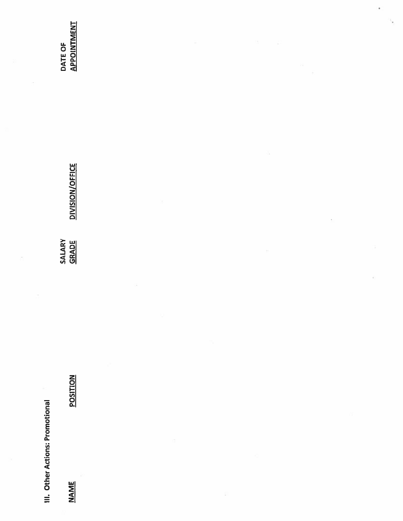**III.** Other Actions: Promotional

**NAME** 

**POSITION** 

**DIVISION/OFFICE** SALARY<br><u>GRADE</u>

**DATE OF<br>APPOINTMENT** 

î,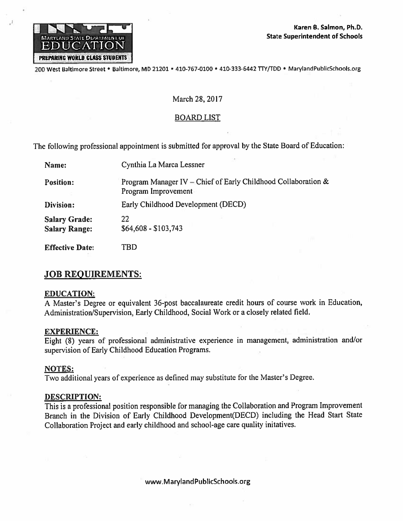

200 West Baltimore Street · Baltimore, MD 21201 · 410-767-0100 · 410-333-6442 TTY/TDD · MarylandPublicSchools.org

### March 28, 2017

### **BOARD LIST**

The following professional appointment is submitted for approval by the State Board of Education:

| Name:                                        | Cynthia La Marca Lessner                                                             |
|----------------------------------------------|--------------------------------------------------------------------------------------|
| <b>Position:</b>                             | Program Manager IV - Chief of Early Childhood Collaboration &<br>Program Improvement |
| Division:                                    | Early Childhood Development (DECD)                                                   |
| <b>Salary Grade:</b><br><b>Salary Range:</b> | 22<br>$$64,608 - $103,743$                                                           |
| <b>Effective Date:</b>                       | TBD                                                                                  |

# **JOB REQUIREMENTS:**

### **EDUCATION:**

A Master's Degree or equivalent 36-post baccalaureate credit hours of course work in Education, Administration/Supervision, Early Childhood, Social Work or a closely related field.

### **EXPERIENCE:**

Eight (8) years of professional administrative experience in management, administration and/or supervision of Early Childhood Education Programs.

### **NOTES:**

Two additional years of experience as defined may substitute for the Master's Degree.

#### **DESCRIPTION:**

This is a professional position responsible for managing the Collaboration and Program Improvement Branch in the Division of Early Childhood Development(DECD) including the Head Start State Collaboration Project and early childhood and school-age care quality initatives.

www.MarylandPublicSchools.org